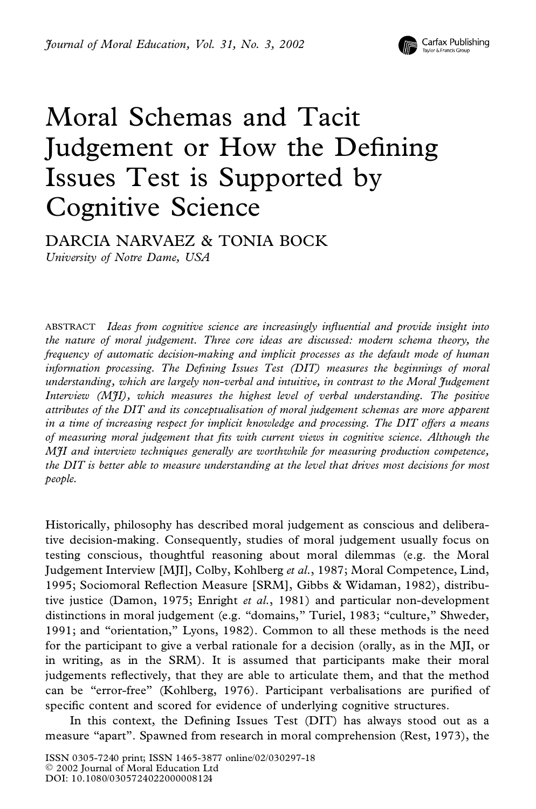# Moral Schemas and Tacit Judgement or How the Defining Issues Test is Supported by Cognitive Science

DARCIA NARVAEZ & TONIA BOCK *University of Notre Dame, USA*

ABSTRACT *Ideas from cognitive science are increasingly in uential and provide insight into the nature of moral judgement. Three core ideas are discussed: modern schema theory, the frequency of automatic decision-making and implicit processes as the default mode of human information processing. The De ning Issues Test (DIT) measures the beginnings of moral understanding, which are largely non-verbal and intuitive, in contrast to the Moral Judgement Interview (MJI), which measures the highest level of verbal understanding. The positive attributes of the DIT and its conceptualisation of moral judgement schemas are more apparent in a time of increasing respect for implicit knowledge and processing. The DIT offers a means of measuring moral judgement that ts with current views in cognitive science. Although the MJI and interview techniques generally are worthwhile for measuring production competence, the DIT is better able to measure understanding at the level that drives most decisions for most people.*

Historically, philosophy has described moral judgement as conscious and deliberative decision-making. Consequently, studies of moral judgement usually focus on testing conscious, thoughtful reasoning about moral dilemmas (e.g. the Moral Judgement Interview [MJI], Colby, Kohlberg *et al.*, 1987; Moral Competence, Lind, 1995; Sociomoral Reflection Measure [SRM], Gibbs & Widaman, 1982), distributive justice (Damon, 1975; Enright *et al.*, 1981) and particular non-development distinctions in moral judgement (e.g. "domains," Turiel, 1983; "culture," Shweder, 1991; and "orientation," Lyons, 1982). Common to all these methods is the need for the participant to give a verbal rationale for a decision (orally, as in the MJI, or in writing, as in the SRM). It is assumed that participants make their moral judgements reflectively, that they are able to articulate them, and that the method can be "error-free" (Kohlberg, 1976). Participant verbalisations are purified of specific content and scored for evidence of underlying cognitive structures.

In this context, the Defining Issues Test (DIT) has always stood out as a measure "apart". Spawned from research in moral comprehension (Rest, 1973), the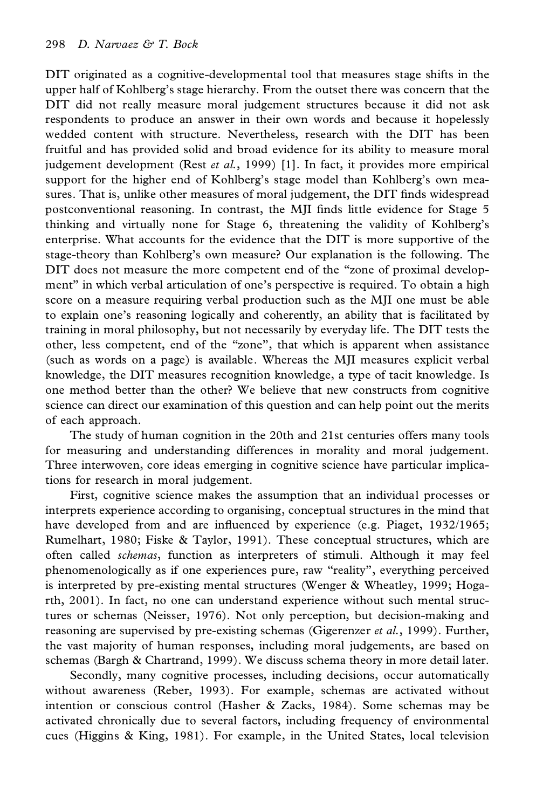DIT originated as a cognitive-developmental tool that measures stage shifts in the upper half of Kohlberg's stage hierarchy. From the outset there was concern that the DIT did not really measure moral judgement structures because it did not ask respondents to produce an answer in their own words and because it hopelessly wedded content with structure. Nevertheless, research with the DIT has been fruitful and has provided solid and broad evidence for its ability to measure moral judgement development (Rest *et al.*, 1999) [1]. In fact, it provides more empirical support for the higher end of Kohlberg's stage model than Kohlberg's own measures. That is, unlike other measures of moral judgement, the DIT finds widespread postconventional reasoning. In contrast, the MJI finds little evidence for Stage 5 thinking and virtually none for Stage 6, threatening the validity of Kohlberg's enterprise. What accounts for the evidence that the DIT is more supportive of the stage-theory than Kohlberg's own measure? Our explanation is the following. The DIT does not measure the more competent end of the "zone of proximal develop ment" in which verbal articulation of one's perspective is required. To obtain a high score on a measure requiring verbal production such as the MJI one must be able to explain one's reasoning logically and coherently, an ability that is facilitated by training in moral philosophy, but not necessarily by everyday life. The DIT tests the other, less competent, end of the "zone", that which is apparent when assistance (such as words on a page) is available. Whereas the MJI measures explicit verbal knowledge, the DIT measures recognition knowledge, a type of tacit knowledge. Is one method better than the other? We believe that new constructs from cognitive science can direct our examination of this question and can help point out the merits of each approach.

The study of human cognition in the 20th and 21st centuries offers many tools for measuring and understanding differences in morality and moral judgement. Three interwoven, core ideas emerging in cognitive science have particular implications for research in moral judgement.

First, cognitive science makes the assumption that an individual processes or interprets experience according to organising, conceptual structures in the mind that have developed from and are influenced by experience (e.g. Piaget,  $1932/1965$ ; Rumelhart, 1980; Fiske & Taylor, 1991). These conceptual structures, which are often called *schemas*, function as interpreters of stimuli. Although it may feel phenomenologically as if one experiences pure, raw "reality", everything perceived is interpreted by pre-existing mental structures (Wenger & Wheatley, 1999; Hogarth, 2001). In fact, no one can understand experience without such mental structures or schemas (Neisser, 1976). Not only perception, but decision-making and reasoning are supervised by pre-existing schemas (Gigerenzer *et al.*, 1999). Further, the vast majority of human responses, including moral judgements, are based on schemas (Bargh & Chartrand, 1999). We discuss schema theory in more detail later.

Secondly, many cognitive processes, including decisions, occur automatically without awareness (Reber, 1993). For example, schemas are activated without intention or conscious control (Hasher & Zacks, 1984). Some schemas may be activated chronically due to several factors, including frequency of environmental cues (Higgins & King, 1981). For example, in the United States, local television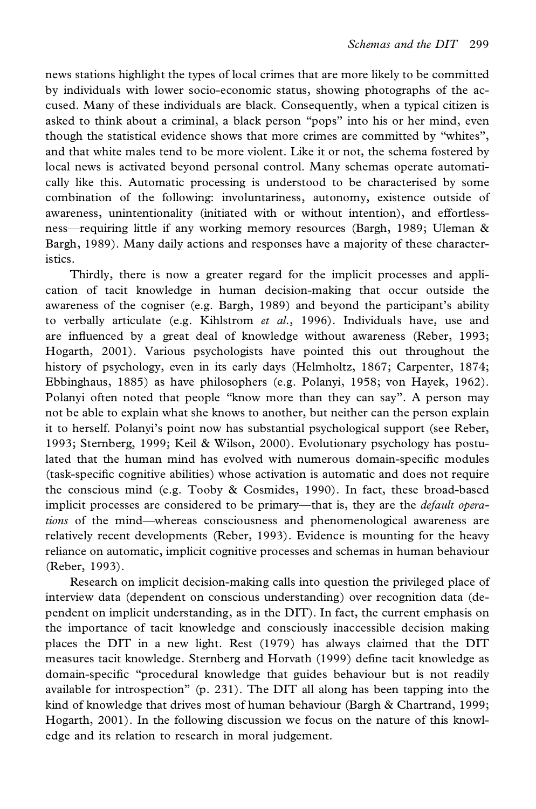news stations highlight the types of local crimes that are more likely to be committed by individuals with lower socio-economic status, showing photographs of the ac cused. Many of these individuals are black. Consequently, when a typical citizen is asked to think about a criminal, a black person "pops" into his or her mind, even though the statistical evidence shows that more crimes are committed by "whites", and that white males tend to be more violent. Like it or not, the schema fostered by local news is activated beyond personal control. Many schemas operate automati cally like this. Automatic processing is understood to be characterised by some combination of the following: involuntariness, autonomy, existence outside of awareness, unintentionality (initiated with or without intention), and effortless ness—requiring little if any working memory resources (Bargh, 1989; Uleman & Bargh, 1989). Many daily actions and responses have a majority of these characteristics.

Thirdly, there is now a greater regard for the implicit processes and appli cation of tacit knowledge in human decision-making that occur outside the awareness of the cogniser (e.g. Bargh, 1989) and beyond the participant's ability to verbally articulate (e.g. Kihlstrom *et al.*, 1996). Individuals have, use and are influenced by a great deal of knowledge without awareness (Reber, 1993; Hogarth, 2001). Various psychologists have pointed this out throughout the history of psychology, even in its early days (Helmholtz, 1867; Carpenter, 1874; Ebbinghaus, 1885) as have philosophers (e.g. Polanyi, 1958; von Hayek, 1962). Polanyi often noted that people "know more than they can say". A person may not be able to explain what she knows to another, but neither can the person explain it to herself. Polanyi's point now has substantial psychological support (see Reber, 1993; Sternberg, 1999; Keil & Wilson, 2000). Evolutionary psychology has postulated that the human mind has evolved with numerous domain-specific modules (task-specific cognitive abilities) whose activation is automatic and does not require the conscious mind (e.g. Tooby  $\&$  Cosmides, 1990). In fact, these broad-based implicit processes are considered to be primary—that is, they are the *default operations* of the mind—whereas consciousness and phenomenological awareness are relatively recent developments (Reber, 1993). Evidence is mounting for the heavy reliance on automatic, implicit cognitive processes and schemas in human behaviour (Reber, 1993).

Research on implicit decision-making calls into question the privileged place of interview data (dependent on conscious understanding) over recognition data (de pendent on implicit understanding, as in the DIT). In fact, the current emphasis on the importance of tacit knowledge and consciously inaccessible decision making places the DIT in a new light. Rest (1979) has always claimed that the DIT measures tacit knowledge. Sternberg and Horvath (1999) define tacit knowledge as domain-specific "procedural knowledge that guides behaviour but is not readily available for introspection" (p. 231). The DIT all along has been tapping into the kind of knowledge that drives most of human behaviour (Bargh & Chartrand, 1999; Hogarth, 2001). In the following discussion we focus on the nature of this knowl edge and its relation to research in moral judgement.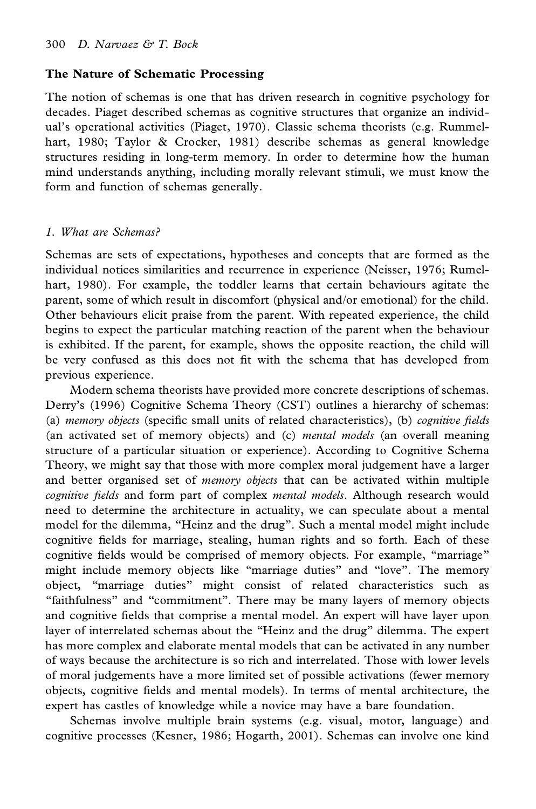#### **The Nature of Schematic Processing**

The notion of schemas is one that has driven research in cognitive psychology for decades. Piaget described schemas as cognitive structures that organize an individ ual's operational activities (Piaget, 1970). Classic schema theorists (e.g. Rummel hart, 1980; Taylor & Crocker, 1981) describe schemas as general knowledge structures residing in long-term memory. In order to determine how the human mind understands anything, including morally relevant stimuli, we must know the form and function of schemas generally.

#### *1. What are Schemas?*

Schemas are sets of expectations, hypotheses and concepts that are formed as the individual notices similarities and recurrence in experience (Neisser, 1976; Rumel hart, 1980). For example, the toddler learns that certain behaviours agitate the parent, some of which result in discomfort (physical and/or emotional) for the child. Other behaviours elicit praise from the parent. With repeated experience, the child begins to expect the particular matching reaction of the parent when the behaviour is exhibited. If the parent, for example, shows the opposite reaction, the child will be very confused as this does not fit with the schema that has developed from previous experience.

Modern schema theorists have provided more concrete descriptions of schemas. Derry's (1996) Cognitive Schema Theory (CST) outlines a hierarchy of schemas: (a) *memory objects* (specific small units of related characteristics), (b) *cognitive fields* (an activated set of memory objects) and (c) *mental models* (an overall meaning structure of a particular situation or experience). According to Cognitive Schema Theory, we might say that those with more complex moral judgement have a larger and better organised set of *memory objects* that can be activated within multiple *cognitive elds* and form part of complex *mental models*. Although research would need to determine the architecture in actuality, we can speculate about a mental model for the dilemma, "Heinz and the drug". Such a mental model might include cognitive fields for marriage, stealing, human rights and so forth. Each of these cognitive fields would be comprised of memory objects. For example, "marriage" might include memory objects like "marriage duties" and "love". The memory object, "marriage duties" might consist of related characteristics such as "faithfulness" and "commitment". There may be many layers of memory objects and cognitive fields that comprise a mental model. An expert will have layer upon layer of interrelated schemas about the "Heinz and the drug" dilemma. The expert has more complex and elaborate mental models that can be activated in any number of ways because the architecture is so rich and interrelated. Those with lower levels of moral judgements have a more limited set of possible activations (fewer memory objects, cognitive fields and mental models). In terms of mental architecture, the expert has castles of knowledge while a novice may have a bare foundation.

Schemas involve multiple brain systems (e.g. visual, motor, language) and cognitive processes (Kesner, 1986; Hogarth, 2001). Schemas can involve one kind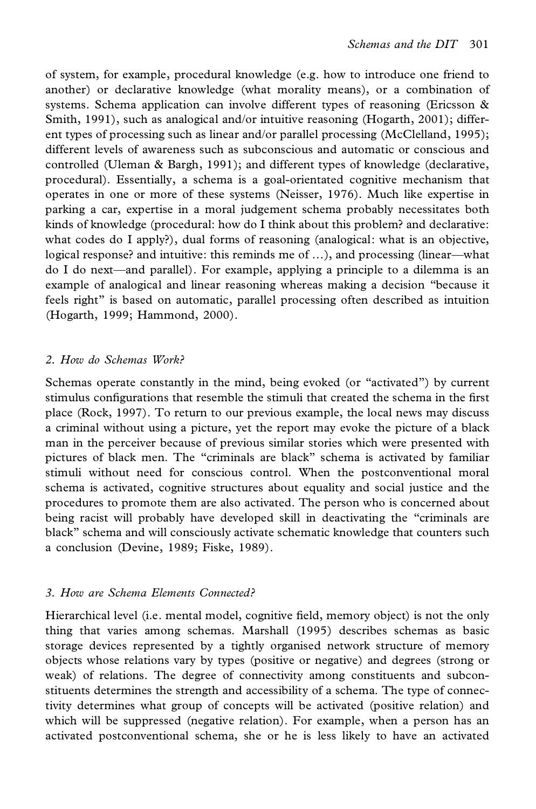of system, for example, procedural knowledge (e.g. how to introduce one friend to another) or declarative knowledge (what morality means), or a combination of systems. Schema application can involve different types of reasoning (Ericsson & Smith, 1991), such as analogical and/or intuitive reasoning (Hogarth, 2001); differ ent types of processing such as linear and/or parallel processing (McClelland, 1995); different levels of awareness such as subconscious and automatic or conscious and controlled (Uleman & Bargh, 1991); and different types of knowledge (declarative, procedural). Essentially, a schema is a goal-orientated cognitive mechanism that operates in one or more of these systems (Neisser, 1976). Much like expertise in parking a car, expertise in a moral judgement schema probably necessitates both kinds of knowledge (procedural: how do I think about this problem? and declarative: what codes do I apply?), dual forms of reasoning (analogical: what is an objective, logical response? and intuitive: this reminds me of …), and processing (linear—what do I do next—and parallel). For example, applying a principle to a dilemma is an example of analogical and linear reasoning whereas making a decision "because it feels right" is based on automatic, parallel processing often described as intuition (Hogarth, 1999; Hammond, 2000).

## *2. How do Schemas Work?*

Schemas operate constantly in the mind, being evoked (or "activated") by current stimulus configurations that resemble the stimuli that created the schema in the first place (Rock, 1997). To return to our previous example, the local news may discuss a criminal without using a picture, yet the report may evoke the picture of a black man in the perceiver because of previous similar stories which were presented with pictures of black men. The "criminals are black" schema is activated by familiar stimuli without need for conscious control. When the postconventional moral schema is activated, cognitive structures about equality and social justice and the procedures to promote them are also activated. The person who is concerned about being racist will probably have developed skill in deactivating the "criminals are black" schema and will consciously activate schematic knowledge that counters such a conclusion (Devine, 1989; Fiske, 1989).

## *3. How are Schema Elements Connected?*

Hierarchical level (i.e. mental model, cognitive field, memory object) is not the only thing that varies among schemas. Marshall (1995) describes schemas as basic storage devices represented by a tightly organised network structure of memory objects whose relations vary by types (positive or negative) and degrees (strong or weak) of relations. The degree of connectivity among constituents and subconstituents determines the strength and accessibility of a schema. The type of connectivity determines what group of concepts will be activated (positive relation) and which will be suppressed (negative relation). For example, when a person has an activated postconventional schema, she or he is less likely to have an activated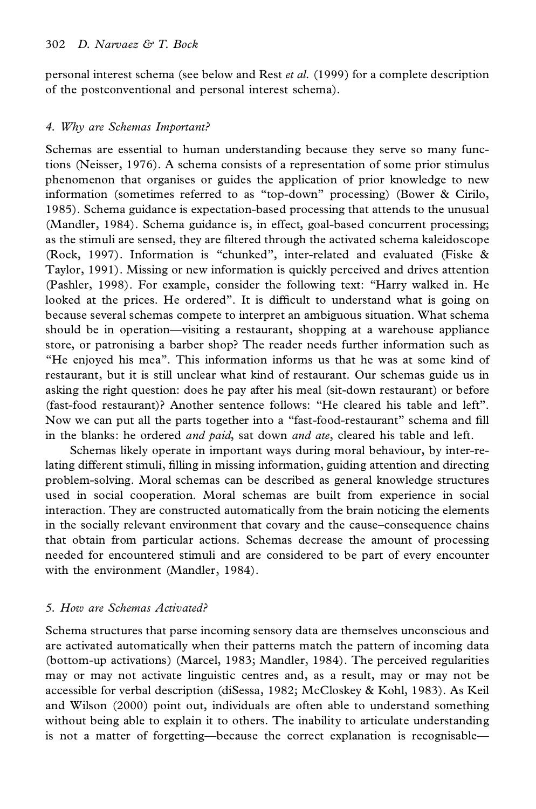personal interest schema (see below and Rest *et al.* (1999) for a complete description of the postconventional and personal interest schema).

#### *4. Why are Schemas Important?*

Schemas are essential to human understanding because they serve so many functions (Neisser, 1976). A schema consists of a representation of some prior stimulus phenomenon that organises or guides the application of prior knowledge to new information (sometimes referred to as "top-down" processing) (Bower & Cirilo, 1985). Schema guidance is expectation-based processing that attends to the unusual (Mandler, 1984). Schema guidance is, in effect, goal-based concurrent processing; as the stimuli are sensed, they are filtered through the activated schema kaleidoscope (Rock, 1997). Information is "chunked", inter-related and evaluated (Fiske & Taylor, 1991). Missing or new information is quickly perceived and drives attention (Pashler, 1998). For example, consider the following text: "Harry walked in. He looked at the prices. He ordered". It is difficult to understand what is going on because several schemas compete to interpret an ambiguous situation. What schema should be in operation—visiting a restaurant, shopping at a warehouse appliance store, or patronising a barber shop? The reader needs further information such as "He enjoyed his mea". This information informs us that he was at some kind of restaurant, but it is still unclear what kind of restaurant. Our schemas guide us in asking the right question: does he pay after his meal (sit-down restaurant) or before (fast-food restaurant)? Another sentence follows: "He cleared his table and left". Now we can put all the parts together into a "fast-food-restaurant" schema and fill in the blanks: he ordered *and paid*, sat down *and ate*, cleared his table and left.

Schemas likely operate in important ways during moral behaviour, by inter-relating different stimuli, filling in missing information, guiding attention and directing problem-solving. Moral schemas can be described as general knowledge structures used in social cooperation. Moral schemas are built from experience in social interaction. They are constructed automatically from the brain noticing the elements in the socially relevant environment that covary and the cause–consequence chains that obtain from particular actions. Schemas decrease the amount of processing needed for encountered stimuli and are considered to be part of every encounter with the environment (Mandler, 1984).

#### *5. How are Schemas Activated?*

Schema structures that parse incoming sensory data are themselves unconscious and are activated automatically when their patterns match the pattern of incoming data (bottom-up activations) (Marcel, 1983; Mandler, 1984). The perceived regularities may or may not activate linguistic centres and, as a result, may or may not be accessible for verbal description (diSessa, 1982; McCloskey & Kohl, 1983). As Keil and Wilson (2000) point out, individuals are often able to understand something without being able to explain it to others. The inability to articulate understanding is not a matter of forgetting—because the correct explanation is recognisable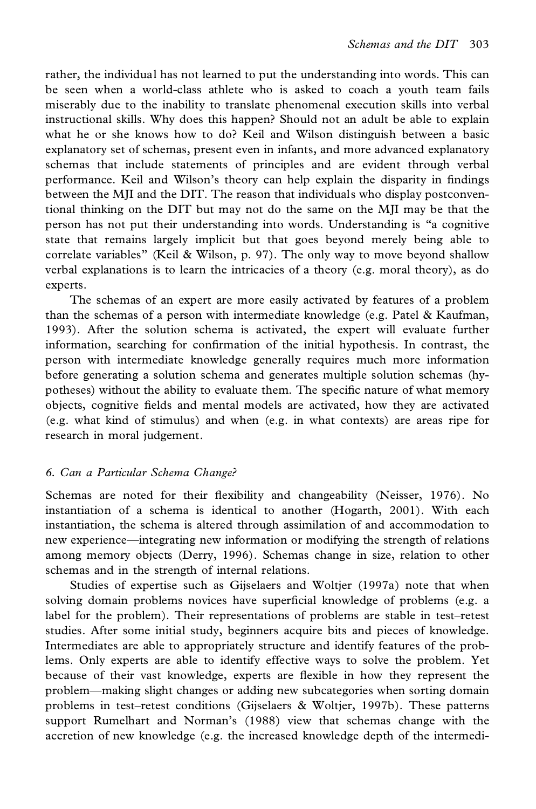rather, the individual has not learned to put the understanding into words. This can be seen when a world-class athlete who is asked to coach a youth team fails miserably due to the inability to translate phenomenal execution skills into verbal instructional skills. Why does this happen? Should not an adult be able to explain what he or she knows how to do? Keil and Wilson distinguish between a basic explanatory set of schemas, present even in infants, and more advanced explanatory schemas that include statements of principles and are evident through verbal performance. Keil and Wilson's theory can help explain the disparity in findings between the MJI and the DIT. The reason that individuals who display postconventional thinking on the DIT but may not do the same on the MJI may be that the person has not put their understanding into words. Understanding is "a cognitive state that remains largely implicit but that goes beyond merely being able to correlate variables" (Keil & Wilson, p. 97). The only way to move beyond shallow verbal explanations is to learn the intricacies of a theory (e.g. moral theory), as do experts.

The schemas of an expert are more easily activated by features of a problem than the schemas of a person with intermediate knowledge (e.g. Patel & Kaufman, 1993). After the solution schema is activated, the expert will evaluate further information, searching for confirmation of the initial hypothesis. In contrast, the person with intermediate knowledge generally requires much more information before generating a solution schema and generates multiple solution schemas (hy potheses) without the ability to evaluate them. The specific nature of what memory objects, cognitive fields and mental models are activated, how they are activated (e.g. what kind of stimulus) and when (e.g. in what contexts) are areas ripe for research in moral judgement.

## *6. Can a Particular Schema Change?*

Schemas are noted for their flexibility and changeability (Neisser, 1976). No instantiation of a schema is identical to another (Hogarth, 2001). With each instantiation, the schema is altered through assimilation of and accommodation to new experience—integrating new information or modifying the strength of relations among memory objects (Derry, 1996). Schemas change in size, relation to other schemas and in the strength of internal relations.

Studies of expertise such as Gijselaers and Woltjer (1997a) note that when solving domain problems novices have superficial knowledge of problems (e.g. a label for the problem). Their representations of problems are stable in test–retest studies. After some initial study, beginners acquire bits and pieces of knowledge. Intermediates are able to appropriately structure and identify features of the problems. Only experts are able to identify effective ways to solve the problem. Yet because of their vast knowledge, experts are flexible in how they represent the problem—making slight changes or adding new subcategories when sorting domain problems in test–retest conditions (Gijselaers & Woltjer, 1997b). These patterns support Rumelhart and Norman's (1988) view that schemas change with the accretion of new knowledge (e.g. the increased knowledge depth of the intermedi-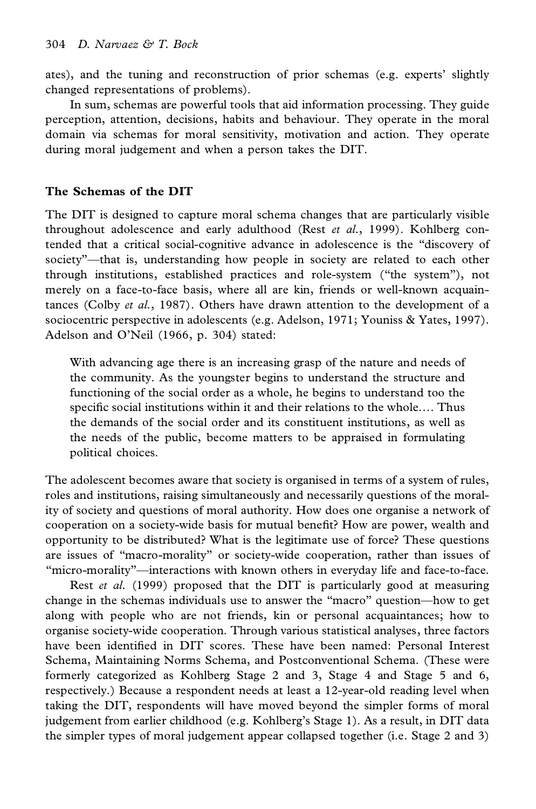ates), and the tuning and reconstruction of prior schemas (e.g. experts' slightly changed representations of problems).

In sum, schemas are powerful tools that aid information processing. They guide perception, attention, decisions, habits and behaviour. They operate in the moral domain via schemas for moral sensitivity, motivation and action. They operate during moral judgement and when a person takes the DIT.

## **The Schemas of the DIT**

The DIT is designed to capture moral schema changes that are particularly visible throughout adolescence and early adulthood (Rest *et al.*, 1999). Kohlberg contended that a critical social-cognitive advance in adolescence is the "discovery of society"—that is, understanding how people in society are related to each other through institutions, established practices and role-system ("the system"), not merely on a face-to-face basis, where all are kin, friends or well-known acquaintances (Colby *et al.*, 1987). Others have drawn attention to the development of a sociocentric perspective in adolescents (e.g. Adelson, 1971; Youniss & Yates, 1997). Adelson and O'Neil (1966, p. 304) stated:

With advancing age there is an increasing grasp of the nature and needs of the community. As the youngster begins to understand the structure and functioning of the social order as a whole, he begins to understand too the specific social institutions within it and their relations to the whole.... Thus the demands of the social order and its constituent institutions, as well as the needs of the public, become matters to be appraised in formulating political choices.

The adolescent becomes aware that society is organised in terms of a system of rules, roles and institutions, raising simultaneously and necessarily questions of the morality of society and questions of moral authority. How does one organise a network of cooperation on a society-wide basis for mutual benefit? How are power, wealth and opportunity to be distributed? What is the legitimate use of force? These questions are issues of "macro-morality" or society-wide cooperation, rather than issues of "micro-morality"—interactions with known others in everyday life and face-to-face.

Rest *et al.* (1999) proposed that the DIT is particularly good at measuring change in the schemas individuals use to answer the "macro" question—how to get along with people who are not friends, kin or personal acquaintances; how to organise society-wide cooperation. Through various statistical analyses, three factors have been identified in DIT scores. These have been named: Personal Interest Schema, Maintaining Norms Schema, and Postconventional Schema. (These were formerly categorized as Kohlberg Stage 2 and 3, Stage 4 and Stage 5 and 6, respectively.) Because a respondent needs at least a 12-year-old reading level when taking the DIT, respondents will have moved beyond the simpler forms of moral judgement from earlier childhood (e.g. Kohlberg's Stage 1). As a result, in DIT data the simpler types of moral judgement appear collapsed together (i.e. Stage 2 and 3)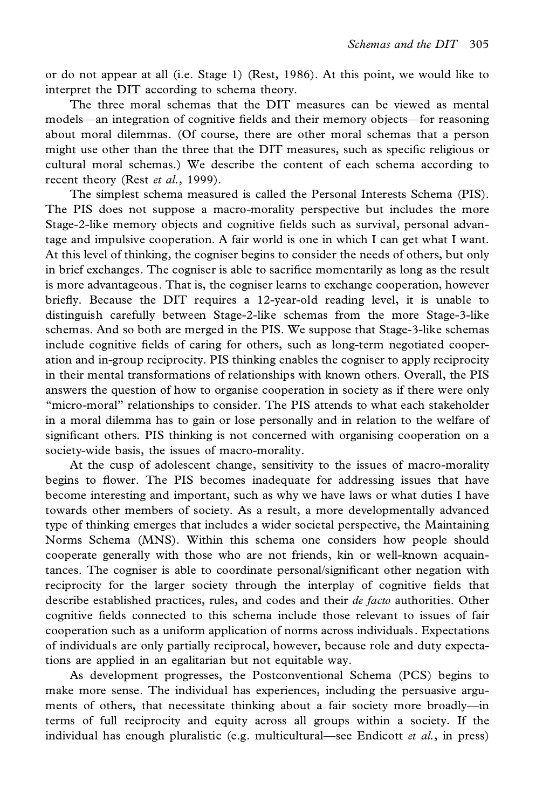or do not appear at all (i.e. Stage 1) (Rest, 1986). At this point, we would like to interpret the DIT according to schema theory.

The three moral schemas that the DIT measures can be viewed as mental models—an integration of cognitive fields and their memory objects—for reasoning about moral dilemmas. (Of course, there are other moral schemas that a person might use other than the three that the DIT measures, such as specific religious or cultural moral schemas.) We describe the content of each schema according to recent theory (Rest *et al.*, 1999).

The simplest schema measured is called the Personal Interests Schema (PIS). The PIS does not suppose a macro-morality perspective but includes the more Stage-2-like memory objects and cognitive fields such as survival, personal advantage and impulsive cooperation. A fair world is one in which I can get what I want. At this level of thinking, the cogniser begins to consider the needs of others, but only in brief exchanges. The cogniser is able to sacrifice momentarily as long as the result is more advantageous. That is, the cogniser learns to exchange cooperation, however briefly. Because the DIT requires a 12-year-old reading level, it is unable to distinguish carefully between Stage-2-like schemas from the more Stage-3-like schemas. And so both are merged in the PIS. We suppose that Stage-3-like schemas include cognitive fields of caring for others, such as long-term negotiated cooperation and in-group reciprocity. PIS thinking enables the cogniser to apply reciprocity in their mental transformations of relationships with known others. Overall, the PIS answers the question of how to organise cooperation in society as if there were only "micro-moral" relationships to consider. The PIS attends to what each stakeholder in a moral dilemma has to gain or lose personally and in relation to the welfare of significant others. PIS thinking is not concerned with organising cooperation on a society-wide basis, the issues of macro-morality.

At the cusp of adolescent change, sensitivity to the issues of macro-morality begins to flower. The PIS becomes inadequate for addressing issues that have become interesting and important, such as why we have laws or what duties I have towards other members of society. As a result, a more developmentally advanced type of thinking emerges that includes a wider societal perspective, the Maintaining Norms Schema (MNS). Within this schema one considers how people should cooperate generally with those who are not friends, kin or well-known acquaintances. The cogniser is able to coordinate personal/significant other negation with reciprocity for the larger society through the interplay of cognitive fields that describe established practices, rules, and codes and their *de facto* authorities. Other cognitive fields connected to this schema include those relevant to issues of fair cooperation such as a uniform application of norms across individuals. Expectations of individuals are only partially reciprocal, however, because role and duty expectations are applied in an egalitarian but not equitable way.

As development progresses, the Postconventional Schema (PCS) begins to make more sense. The individual has experiences, including the persuasive argu ments of others, that necessitate thinking about a fair society more broadly—in terms of full reciprocity and equity across all groups within a society. If the individual has enough pluralistic (e.g. multicultural—see Endicott *et al.*, in press)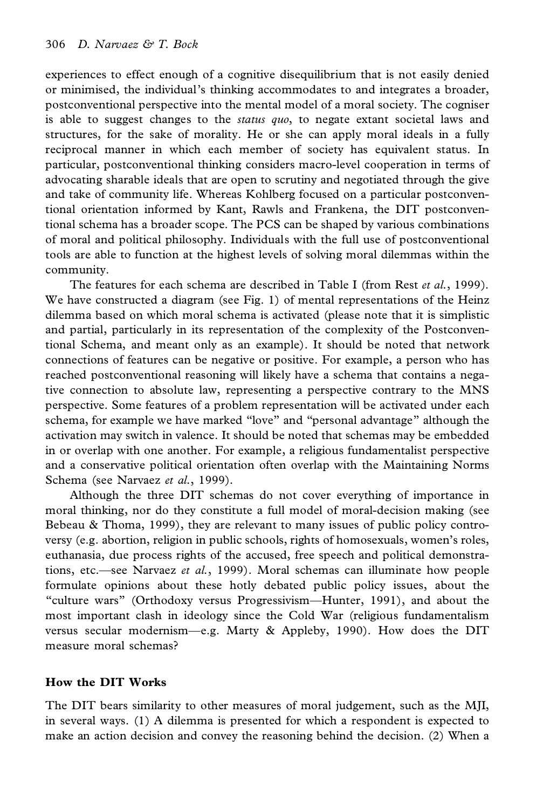experiences to effect enough of a cognitive disequilibrium that is not easily denied or minimised, the individual's thinking accommodates to and integrates a broader, postconventional perspective into the mental model of a moral society. The cogniser is able to suggest changes to the *status quo*, to negate extant societal laws and structures, for the sake of morality. He or she can apply moral ideals in a fully reciprocal manner in which each member of society has equivalent status. In particular, postconventional thinking considers macro-level cooperation in terms of advocating sharable ideals that are open to scrutiny and negotiated through the give and take of community life. Whereas Kohlberg focused on a particular postconventional orientation informed by Kant, Rawls and Frankena, the DIT postconventional schema has a broader scope. The PCS can be shaped by various combinations of moral and political philosophy. Individuals with the full use of postconventional tools are able to function at the highest levels of solving moral dilemmas within the community.

The features for each schema are described in Table I (from Rest *et al.*, 1999). We have constructed a diagram (see Fig. 1) of mental representations of the Heinz dilemma based on which moral schema is activated (please note that it is simplistic and partial, particularly in its representation of the complexity of the Postconventional Schema, and meant only as an example). It should be noted that network connections of features can be negative or positive. For example, a person who has reached postconventional reasoning will likely have a schema that contains a negative connection to absolute law, representing a perspective contrary to the MNS perspective. Some features of a problem representation will be activated under each schema, for example we have marked "love" and "personal advantage" although the activation may switch in valence. It should be noted that schemas may be embedded in or overlap with one another. For example, a religious fundamentalist perspective and a conservative political orientation often overlap with the Maintaining Norms Schema (see Narvaez *et al.*, 1999).

Although the three DIT schemas do not cover everything of importance in moral thinking, nor do they constitute a full model of moral-decision making (see Bebeau & Thoma, 1999), they are relevant to many issues of public policy contro versy (e.g. abortion, religion in public schools, rights of homosexuals, women's roles, euthanasia, due process rights of the accused, free speech and political demonstrations, etc.—see Narvaez *et al.*, 1999). Moral schemas can illuminate how people formulate opinions about these hotly debated public policy issues, about the "culture wars" (Orthodoxy versus Progressivism—Hunter, 1991), and about the most important clash in ideology since the Cold War (religious fundamentalism versus secular modernism—e.g. Marty & Appleby, 1990). How does the DIT measure moral schemas?

## **How the DIT Works**

The DIT bears similarity to other measures of moral judgement, such as the MJI, in several ways. (1) A dilemma is presented for which a respondent is expected to make an action decision and convey the reasoning behind the decision. (2) When a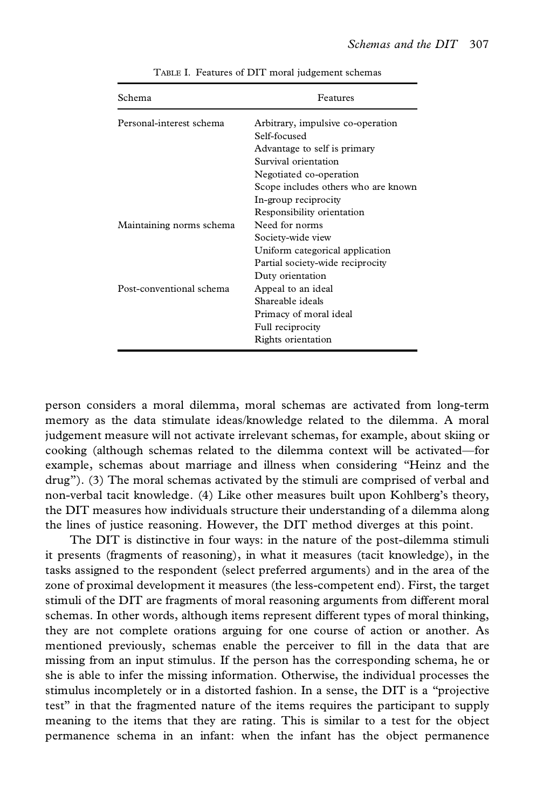| Schema                   | Features                            |
|--------------------------|-------------------------------------|
| Personal-interest schema | Arbitrary, impulsive co-operation   |
|                          | Self-focused                        |
|                          | Advantage to self is primary        |
|                          | Survival orientation                |
|                          | Negotiated co-operation             |
|                          | Scope includes others who are known |
|                          | In-group reciprocity                |
|                          | Responsibility orientation          |
| Maintaining norms schema | Need for norms                      |
|                          | Society-wide view                   |
|                          | Uniform categorical application     |
|                          | Partial society-wide reciprocity    |
|                          | Duty orientation                    |
| Post-conventional schema | Appeal to an ideal                  |
|                          | Shareable ideals                    |
|                          | Primacy of moral ideal              |
|                          | Full reciprocity                    |
|                          | Rights orientation                  |

TABLE I. Features of DIT moral judgement schemas

person considers a moral dilemma, moral schemas are activated from long-term memory as the data stimulate ideas/knowledge related to the dilemma. A moral judgement measure will not activate irrelevant schemas, for example, about skiing or cooking (although schemas related to the dilemma context will be activated—for example, schemas about marriage and illness when considering "Heinz and the drug"). (3) The moral schemas activated by the stimuli are comprised of verbal and non-verbal tacit knowledge. (4) Like other measures built upon Kohlberg's theory, the DIT measures how individuals structure their understanding of a dilemma along the lines of justice reasoning. However, the DIT method diverges at this point.

The DIT is distinctive in four ways: in the nature of the post-dilemma stimuli it presents (fragments of reasoning), in what it measures (tacit knowledge), in the tasks assigned to the respondent (select preferred arguments) and in the area of the zone of proximal development it measures (the less-competent end). First, the target stimuli of the DIT are fragments of moral reasoning arguments from different moral schemas. In other words, although items represent different types of moral thinking, they are not complete orations arguing for one course of action or another. As mentioned previously, schemas enable the perceiver to fill in the data that are missing from an input stimulus. If the person has the corresponding schema, he or she is able to infer the missing information. Otherwise, the individual processes the stimulus incompletely or in a distorted fashion. In a sense, the DIT is a "projective test" in that the fragmented nature of the items requires the participant to supply meaning to the items that they are rating. This is similar to a test for the object permanence schema in an infant: when the infant has the object permanence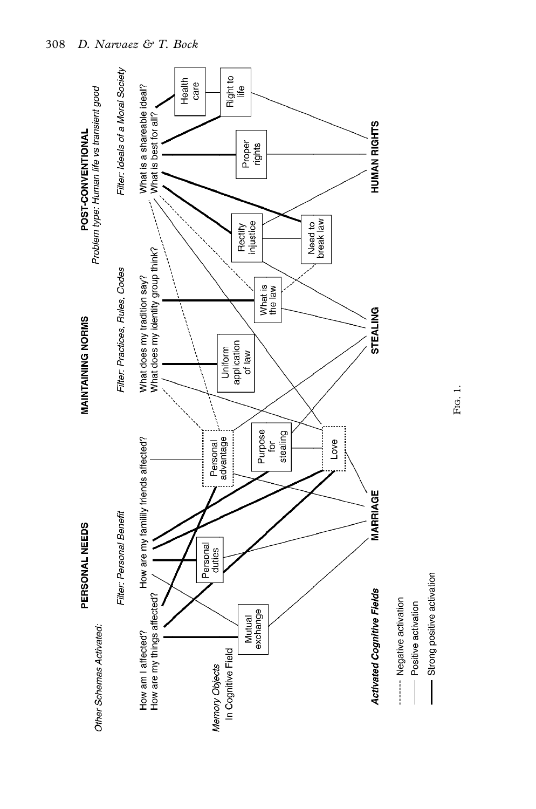

FIG. 1.

Strong positive activation

 $\begin{array}{c} \hline \end{array}$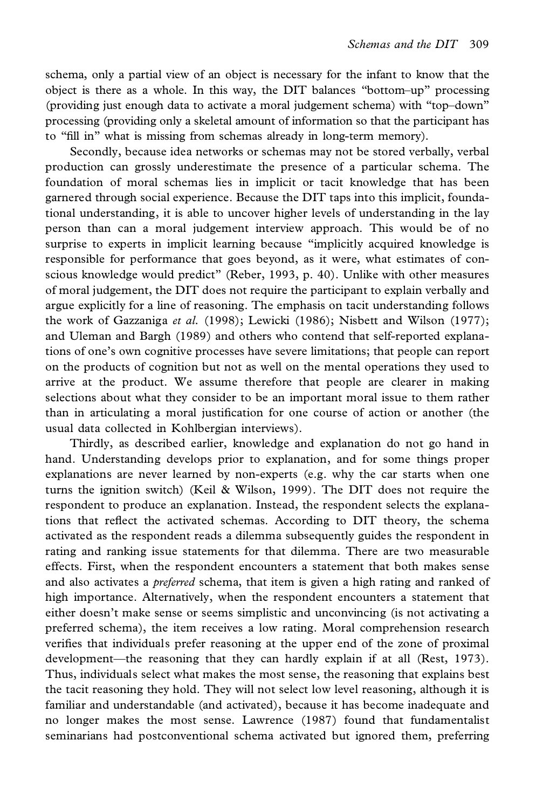schema, only a partial view of an object is necessary for the infant to know that the object is there as a whole. In this way, the DIT balances "bottom–up" processing (providing just enough data to activate a moral judgement schema) with "top–down" processing (providing only a skeletal amount of information so that the participant has to "fill in" what is missing from schemas already in long-term memory).

Secondly, because idea networks or schemas may not be stored verbally, verbal production can grossly underestimate the presence of a particular schema. The foundation of moral schemas lies in implicit or tacit knowledge that has been garnered through social experience. Because the DIT taps into this implicit, foundational understanding, it is able to uncover higher levels of understanding in the lay person than can a moral judgement interview approach. This would be of no surprise to experts in implicit learning because "implicitly acquired knowledge is responsible for performance that goes beyond, as it were, what estimates of conscious knowledge would predict" (Reber, 1993, p. 40). Unlike with other measures of moral judgement, the DIT does not require the participant to explain verbally and argue explicitly for a line of reasoning. The emphasis on tacit understanding follows the work of Gazzaniga *et al.* (1998); Lewicki (1986); Nisbett and Wilson (1977); and Uleman and Bargh (1989) and others who contend that self-reported explanations of one's own cognitive processes have severe limitations; that people can report on the products of cognition but not as well on the mental operations they used to arrive at the product. We assume therefore that people are clearer in making selections about what they consider to be an important moral issue to them rather than in articulating a moral justification for one course of action or another (the usual data collected in Kohlbergian interviews).

Thirdly, as described earlier, knowledge and explanation do not go hand in hand. Understanding develops prior to explanation, and for some things proper explanations are never learned by non-experts (e.g. why the car starts when one turns the ignition switch) (Keil & Wilson, 1999). The DIT does not require the respondent to produce an explanation. Instead, the respondent selects the explanations that reflect the activated schemas. According to DIT theory, the schema activated as the respondent reads a dilemma subsequently guides the respondent in rating and ranking issue statements for that dilemma. There are two measurable effects. First, when the respondent encounters a statement that both makes sense and also activates a *preferred* schema, that item is given a high rating and ranked of high importance. Alternatively, when the respondent encounters a statement that either doesn't make sense or seems simplistic and unconvincing (is not activating a preferred schema), the item receives a low rating. Moral comprehension research verifies that individuals prefer reasoning at the upper end of the zone of proximal development—the reasoning that they can hardly explain if at all (Rest, 1973). Thus, individuals select what makes the most sense, the reasoning that explains best the tacit reasoning they hold. They will not select low level reasoning, although it is familiar and understandable (and activated), because it has become inadequate and no longer makes the most sense. Lawrence (1987) found that fundamentalist seminarians had postconventional schema activated but ignored them, preferring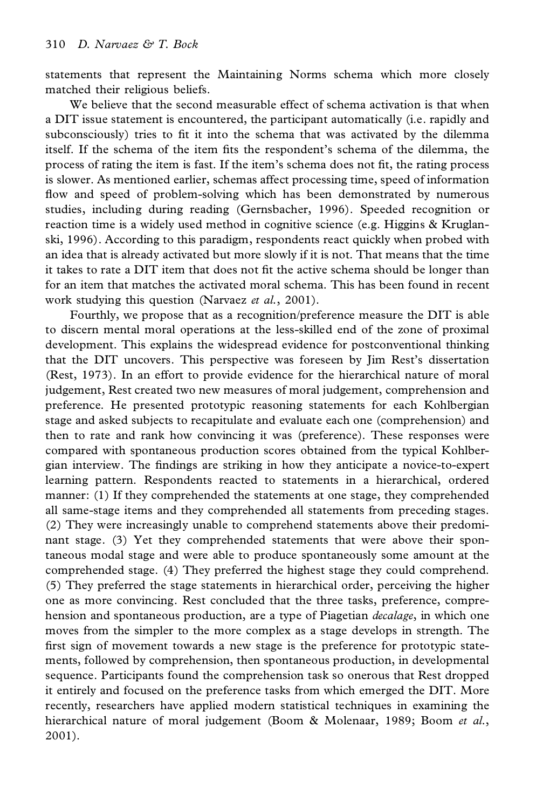statements that represent the Maintaining Norms schema which more closely matched their religious beliefs.

We believe that the second measurable effect of schema activation is that when a DIT issue statement is encountered, the participant automatically (i.e. rapidly and subconsciously) tries to fit it into the schema that was activated by the dilemma itself. If the schema of the item fits the respondent's schema of the dilemma, the process of rating the item is fast. If the item's schema does not fit, the rating process is slower. As mentioned earlier, schemas affect processing time, speed of information flow and speed of problem-solving which has been demonstrated by numerous studies, including during reading (Gernsbacher, 1996). Speeded recognition or reaction time is a widely used method in cognitive science (e.g. Higgins & Kruglanski, 1996). According to this paradigm, respondents react quickly when probed with an idea that is already activated but more slowly if it is not. That means that the time it takes to rate a DIT item that does not fit the active schema should be longer than for an item that matches the activated moral schema. This has been found in recent work studying this question (Narvaez *et al.*, 2001).

Fourthly, we propose that as a recognition/preference measure the DIT is able to discern mental moral operations at the less-skilled end of the zone of proximal development. This explains the widespread evidence for postconventional thinking that the DIT uncovers. This perspective was foreseen by Jim Rest's dissertation (Rest, 1973). In an effort to provide evidence for the hierarchical nature of moral judgement, Rest created two new measures of moral judgement, comprehension and preference. He presented prototypic reasoning statements for each Kohlbergian stage and asked subjects to recapitulate and evaluate each one (comprehension) and then to rate and rank how convincing it was (preference). These responses were compared with spontaneous production scores obtained from the typical Kohlber gian interview. The ndings are striking in how they anticipate a novice-to-expert learning pattern. Respondents reacted to statements in a hierarchical, ordered manner: (1) If they comprehended the statements at one stage, they comprehended all same-stage items and they comprehended all statements from preceding stages. (2) They were increasingly unable to comprehend statements above their predomi nant stage. (3) Yet they comprehended statements that were above their spontaneous modal stage and were able to produce spontaneously some amount at the comprehended stage. (4) They preferred the highest stage they could comprehend. (5) They preferred the stage statements in hierarchical order, perceiving the higher one as more convincing. Rest concluded that the three tasks, preference, compre hension and spontaneous production, are a type of Piagetian *decalage*, in which one moves from the simpler to the more complex as a stage develops in strength. The first sign of movement towards a new stage is the preference for prototypic statements, followed by comprehension, then spontaneous production, in developmental sequence. Participants found the comprehension task so onerous that Rest dropped it entirely and focused on the preference tasks from which emerged the DIT. More recently, researchers have applied modern statistical techniques in examining the hierarchical nature of moral judgement (Boom & Molenaar, 1989; Boom *et al.*, 2001).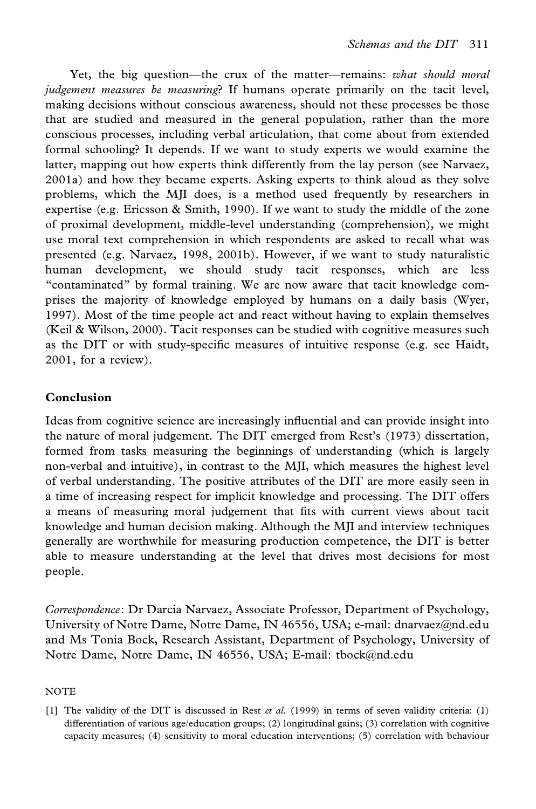Yet, the big question—the crux of the matter—remains: *what should moral judgement measures be measuring*? If humans operate primarily on the tacit level, making decisions without conscious awareness, should not these processes be those that are studied and measured in the general population, rather than the more conscious processes, including verbal articulation, that come about from extended formal schooling? It depends. If we want to study experts we would examine the latter, mapping out how experts think differently from the lay person (see Narvaez, 2001a) and how they became experts. Asking experts to think aloud as they solve problems, which the MJI does, is a method used frequently by researchers in expertise (e.g. Ericsson & Smith, 1990). If we want to study the middle of the zone of proximal development, middle-level understanding (comprehension), we might use moral text comprehension in which respondents are asked to recall what was presented (e.g. Narvaez, 1998, 2001b). However, if we want to study naturalistic human development, we should study tacit responses, which are less "contaminated" by formal training. We are now aware that tacit knowledge com prises the majority of knowledge employed by humans on a daily basis (Wyer, 1997). Most of the time people act and react without having to explain themselves (Keil & Wilson, 2000). Tacit responses can be studied with cognitive measures such as the DIT or with study-specific measures of intuitive response (e.g. see Haidt, 2001, for a review).

## **Conclusion**

Ideas from cognitive science are increasingly influential and can provide insight into the nature of moral judgement. The DIT emerged from Rest's (1973) dissertation, formed from tasks measuring the beginnings of understanding (which is largely non-verbal and intuitive), in contrast to the MJI, which measures the highest level of verbal understanding. The positive attributes of the DIT are more easily seen in a time of increasing respect for implicit knowledge and processing. The DIT offers a means of measuring moral judgement that fits with current views about tacit knowledge and human decision making. Although the MJI and interview techniques generally are worthwhile for measuring production competence, the DIT is better able to measure understanding at the level that drives most decisions for most people.

*Correspondence*: Dr Darcia Narvaez, Associate Professor, Department of Psychology, University of Notre Dame, Notre Dame, IN 46556, USA; e-mail: dnarvaez@nd.edu and Ms Tonia Bock, Research Assistant, Department of Psychology, University of Notre Dame, Notre Dame, IN 46556, USA; E-mail: tbock@nd.edu

#### NOTE

[1] The validity of the DIT is discussed in Rest *et al.* (1999) in terms of seven validity criteria: (1) differentiation of various age/education groups; (2) longitudinal gains; (3) correlation with cognitive capacity measures; (4) sensitivity to moral education interventions; (5) correlation with behaviour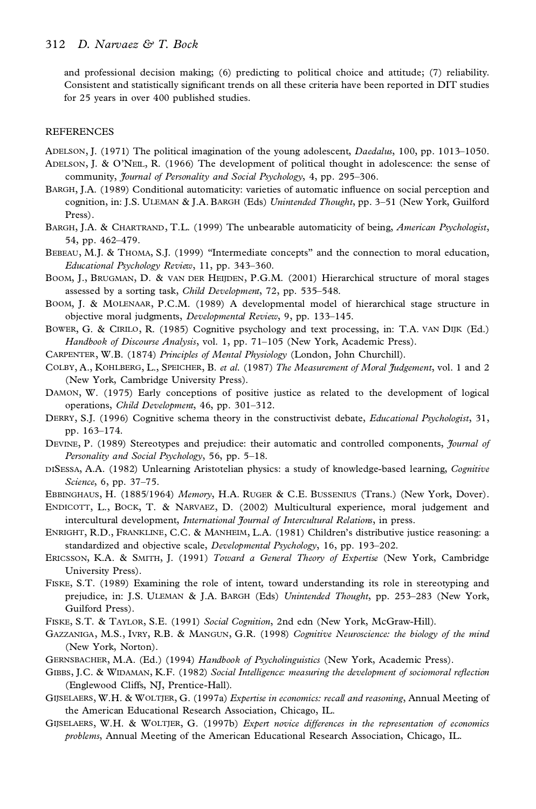and professional decision making; (6) predicting to political choice and attitude; (7) reliability. Consistent and statistically significant trends on all these criteria have been reported in DIT studies for 25 years in over 400 published studies.

#### **REFERENCES**

- ADELSON, J. (1971) The political imagination of the young adolescent, *Daedalus*, 100, pp. 1013–1050.
- ADELSON, J. & O'NEIL, R. (1966) The development of political thought in adolescence: the sense of community, *Journal of Personality and Social Psychology*, 4, pp. 295–306.
- BARGH, J.A. (1989) Conditional automaticity: varieties of automatic influence on social perception and cognition, in: J.S. ULEMAN & J.A. BARGH (Eds) *Unintended Thought*, pp. 3–51 (New York, Guilford Press).
- BARGH, J.A. & CHARTRAND, T.L. (1999) The unbearable automaticity of being, *American Psychologist*, 54, pp. 462–479.
- BEBEAU, M.J. & THOMA, S.J. (1999) "Intermediate concepts" and the connection to moral education, *Educational Psychology Review*, 11, pp. 343–360.
- BOOM, J., BRUGMAN, D. & VAN DER HEIJDEN, P.G.M. (2001) Hierarchical structure of moral stages assessed by a sorting task, *Child Development*, 72, pp. 535–548.
- BOOM, J. & MOLENAAR, P.C.M. (1989) A developmental model of hierarchical stage structure in objective moral judgments, *Developmental Review*, 9, pp. 133–145.
- BOWER, G. & CIRILO, R. (1985) Cognitive psychology and text processing, in: T.A. VAN DIJK (Ed.) *Handbook of Discourse Analysis*, vol. 1, pp. 71–105 (New York, Academic Press).
- CARPENTER, W.B. (1874) *Principles of Mental Physiology* (London, John Churchill).
- COLBY, A., KOHLBERG, L., SPEICHER, B. *et al.* (1987) *The Measurement of Moral Judgement*, vol. 1 and 2 (New York, Cambridge University Press).
- DAMON, W. (1975) Early conceptions of positive justice as related to the development of logical operations, *Child Development*, 46, pp. 301–312.
- DERRY, S.J. (1996) Cognitive schema theory in the constructivist debate, *Educational Psychologist*, 31, pp. 163–174.
- DEVINE, P. (1989) Stereotypes and prejudice: their automatic and controlled components, *Journal of Personality and Social Psychology*, 56, pp. 5–18.
- DISESSA, A.A. (1982) Unlearning Aristotelian physics: a study of knowledge-based learning, *Cognitive Science*, 6, pp. 37–75.
- EBBINGHAUS, H. (1885/1964) *Memory*, H.A. RUGER & C.E. BUSSENIUS (Trans.) (New York, Dover).
- ENDICOTT, L., BOCK, T. & NARVAEZ, D. (2002) Multicultural experience, moral judgement and intercultural development, *International Journal of Intercultural Relations*, in press.
- ENRIGHT, R.D., FRANKLINE, C.C. & MANHEIM, L.A. (1981) Children's distributive justice reasoning: a standardized and objective scale, *Developmental Psychology*, 16, pp. 193–202.
- ERICSSON, K.A. & SMITH, J. (1991) *Toward a General Theory of Expertise* (New York, Cambridge University Press).
- FISKE, S.T. (1989) Examining the role of intent, toward understanding its role in stereotyping and prejudice, in: J.S. ULEMAN & J.A. BARGH (Eds) *Unintended Thought*, pp. 253–283 (New York, Guilford Press).
- FISKE, S.T. & TAYLOR, S.E. (1991) *Social Cognition*, 2nd edn (New York, McGraw-Hill).
- GAZZANIGA, M.S., IVRY, R.B. & MANGUN, G.R. (1998) *Cognitive Neuroscience: the biology of the mind* (New York, Norton).
- GERNSBACHER, M.A. (Ed.) (1994) *Handbook of Psycholinguistics* (New York, Academic Press).
- GIBBS, J.C. & WIDAMAN, K.F. (1982) *Social Intelligence: measuring the development of sociomoral re ection* (Englewood Cliffs, NJ, Prentice-Hall).
- GIJSELAERS, W.H. & WOLTJER, G. (1997a) *Expertise in economics: recall and reasoning*, Annual Meeting of the American Educational Research Association, Chicago, IL.
- GIJSELAERS, W.H. & WOLTJER, G. (1997b) *Expert novice differences in the representation of economics problems*, Annual Meeting of the American Educational Research Association, Chicago, IL.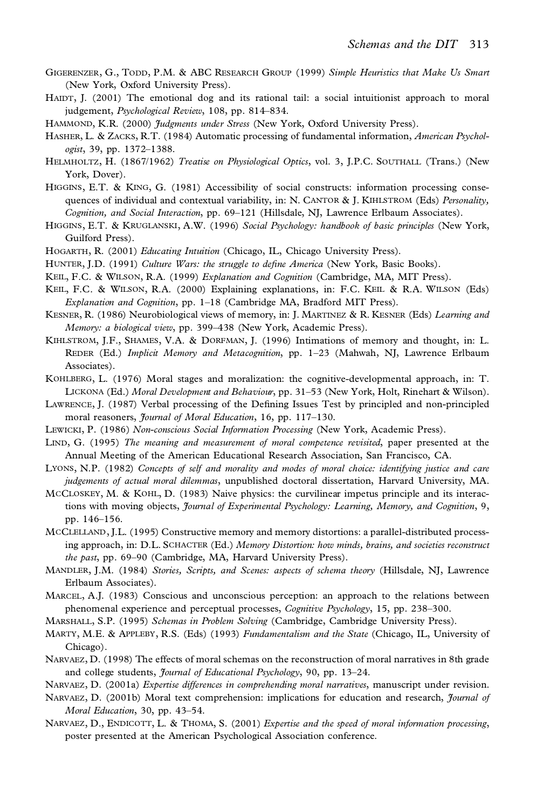- GIGERENZER, G., TODD, P.M. & ABC RESEARCH GROUP (1999) *Simple Heuristics that Make Us Smart* (New York, Oxford University Press).
- HAIDT, J. (2001) The emotional dog and its rational tail: a social intuitionist approach to moral judgement, *Psychological Review*, 108, pp. 814–834.
- HAMMOND, K.R. (2000) *Judgments under Stress* (New York, Oxford University Press).
- HASHER, L. & ZACKS, R.T. (1984) Automatic processing of fundamental information, *American Psychol ogist*, 39, pp. 1372–1388.
- HELMHOLTZ, H. (1867/1962) *Treatise on Physiological Optics*, vol. 3, J.P.C. SOUTHALL (Trans.) (New York, Dover).
- HIGGINS, E.T. & KING, G. (1981) Accessibility of social constructs: information processing conse quences of individual and contextual variability, in: N. CANTOR & J. KIHLSTROM (Eds) *Personality, Cognition, and Social Interaction*, pp. 69–121 (Hillsdale, NJ, Lawrence Erlbaum Associates).
- HIGGINS, E.T. & KRUGLANSKI, A.W. (1996) *Social Psychology: handbook of basic principles* (New York, Guilford Press).
- HOGARTH, R. (2001) *Educating Intuition* (Chicago, IL, Chicago University Press).
- HUNTER, J.D. (1991) *Culture Wars: the struggle to de ne America* (New York, Basic Books).
- KEIL, F.C. & WILSON, R.A. (1999) *Explanation and Cognition* (Cambridge, MA, MIT Press).
- KEIL, F.C. & WILSON, R.A. (2000) Explaining explanations, in: F.C. KEIL & R.A. WILSON (Eds) *Explanation and Cognition*, pp. 1–18 (Cambridge MA, Bradford MIT Press).
- KESNER, R. (1986) Neurobiological views of memory, in: J. MARTINEZ & R. KESNER (Eds) *Learning and Memory: a biological view*, pp. 399–438 (New York, Academic Press).
- KIHLSTROM, J.F., SHAMES, V.A. & DORFMAN, J. (1996) Intimations of memory and thought, in: L. REDER (Ed.) *Implicit Memory and Metacognition*, pp. 1–23 (Mahwah, NJ, Lawrence Erlbaum Associates).
- KOHLBERG, L. (1976) Moral stages and moralization: the cognitive-developmental approach, in: T. LICKONA (Ed.) *Moral Development and Behaviour*, pp. 31–53 (New York, Holt, Rinehart & Wilson).
- LAWRENCE, J. (1987) Verbal processing of the Defining Issues Test by principled and non-principled moral reasoners, *Journal of Moral Education*, 16, pp. 117–130.
- LEWICKI, P. (1986) *Non-conscious Social Information Processing* (New York, Academic Press).
- LIND, G. (1995) *The meaning and measurement of moral competence revisited*, paper presented at the Annual Meeting of the American Educational Research Association, San Francisco, CA.
- LYONS, N.P. (1982) *Concepts of self and morality and modes of moral choice: identifying justice and care judgements of actual moral dilemmas*, unpublished doctoral dissertation, Harvard University, MA.
- MCCLOSKEY, M. & KOHL, D. (1983) Naive physics: the curvilinear impetus principle and its interactions with moving objects, *Journal of Experimental Psychology: Learning, Memory, and Cognition*, 9, pp. 146–156.
- MCCLELLAND, J.L. (1995) Constructive memory and memory distortions: a parallel-distributed processing approach, in: D.L. SCHACTER (Ed.) *Memory Distortion: how minds, brains, and societies reconstruct the past*, pp. 69–90 (Cambridge, MA, Harvard University Press).
- MANDLER, J.M. (1984) *Stories, Scripts, and Scenes: aspects of schema theory* (Hillsdale, NJ, Lawrence Erlbaum Associates).
- MARCEL, A.J. (1983) Conscious and unconscious perception: an approach to the relations between phenomenal experience and perceptual processes, *Cognitive Psychology*, 15, pp. 238–300.
- MARSHALL, S.P. (1995) *Schemas in Problem Solving* (Cambridge, Cambridge University Press).
- MARTY, M.E. & APPLEBY, R.S. (Eds) (1993) *Fundamentalism and the State* (Chicago, IL, University of Chicago).
- NARVAEZ, D. (1998) The effects of moral schemas on the reconstruction of moral narratives in 8th grade and college students, *Journal of Educational Psychology*, 90, pp. 13–24.
- NARVAEZ, D. (2001a) *Expertise differences in comprehending moral narratives*, manuscript under revision.
- NARVAEZ, D. (2001b) Moral text comprehension: implications for education and research, *Journal of Moral Education*, 30, pp. 43–54.
- NARVAEZ, D., ENDICOTT, L. & THOMA, S. (2001) *Expertise and the speed of moral information processing*, poster presented at the American Psychological Association conference.